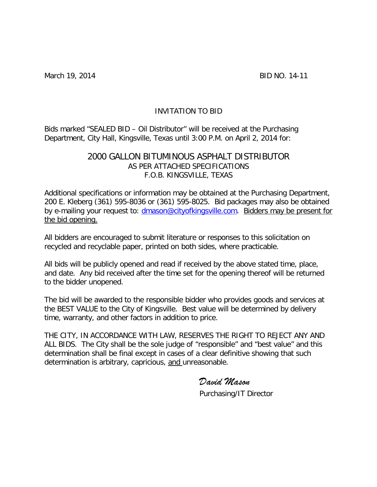March 19, 2014 **BID NO. 14-11** 

# INVITATION TO BID

Bids marked "SEALED BID – Oil Distributor" will be received at the Purchasing Department, City Hall, Kingsville, Texas until 3:00 P.M. on April 2, 2014 for:

# 2000 GALLON BITUMINOUS ASPHALT DISTRIBUTOR AS PER ATTACHED SPECIFICATIONS F.O.B. KINGSVILLE, TEXAS

Additional specifications or information may be obtained at the Purchasing Department, 200 E. Kleberg (361) 595-8036 or (361) 595-8025. Bid packages may also be obtained by e-mailing your request to: [dmason@cityofkingsville.com.](mailto:dmason@cityofkingsville.com) Bidders may be present for the bid opening.

All bidders are encouraged to submit literature or responses to this solicitation on recycled and recyclable paper, printed on both sides, where practicable.

All bids will be publicly opened and read if received by the above stated time, place, and date. Any bid received after the time set for the opening thereof will be returned to the bidder unopened.

The bid will be awarded to the responsible bidder who provides goods and services at the BEST VALUE to the City of Kingsville. Best value will be determined by delivery time, warranty, and other factors in addition to price.

THE CITY, IN ACCORDANCE WITH LAW, RESERVES THE RIGHT TO REJECT ANY AND ALL BIDS. The City shall be the sole judge of "responsible" and "best value" and this determination shall be final except in cases of a clear definitive showing that such determination is arbitrary, capricious, and unreasonable.

*David Mason*

Purchasing/IT Director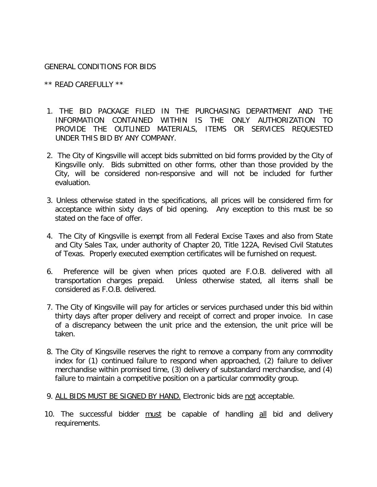# GENERAL CONDITIONS FOR BIDS

\*\* READ CAREFULLY \*\*

- 1. THE BID PACKAGE FILED IN THE PURCHASING DEPARTMENT AND THE INFORMATION CONTAINED WITHIN IS THE ONLY AUTHORIZATION TO PROVIDE THE OUTLINED MATERIALS, ITEMS OR SERVICES REQUESTED UNDER THIS BID BY ANY COMPANY.
- 2. The City of Kingsville will accept bids submitted on bid forms provided by the City of Kingsville only. Bids submitted on other forms, other than those provided by the City, will be considered non-responsive and will not be included for further evaluation.
- 3. Unless otherwise stated in the specifications, all prices will be considered firm for acceptance within sixty days of bid opening. Any exception to this must be so stated on the face of offer.
- 4. The City of Kingsville is exempt from all Federal Excise Taxes and also from State and City Sales Tax, under authority of Chapter 20, Title 122A, Revised Civil Statutes of Texas. Properly executed exemption certificates will be furnished on request.
- 6. Preference will be given when prices quoted are F.O.B. delivered with all transportation charges prepaid. Unless otherwise stated, all items shall be considered as F.O.B. delivered.
- 7. The City of Kingsville will pay for articles or services purchased under this bid within thirty days after proper delivery and receipt of correct and proper invoice. In case of a discrepancy between the unit price and the extension, the unit price will be taken.
- 8. The City of Kingsville reserves the right to remove a company from any commodity index for (1) continued failure to respond when approached, (2) failure to deliver merchandise within promised time, (3) delivery of substandard merchandise, and (4) failure to maintain a competitive position on a particular commodity group.
- 9. ALL BIDS MUST BE SIGNED BY HAND. Electronic bids are not acceptable.
- 10. The successful bidder must be capable of handling all bid and delivery requirements.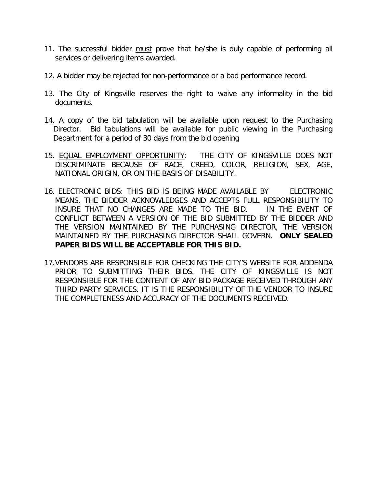- 11. The successful bidder must prove that he/she is duly capable of performing all services or delivering items awarded.
- 12. A bidder may be rejected for non-performance or a bad performance record.
- 13. The City of Kingsville reserves the right to waive any informality in the bid documents.
- 14. A copy of the bid tabulation will be available upon request to the Purchasing Director. Bid tabulations will be available for public viewing in the Purchasing Department for a period of 30 days from the bid opening
- 15. EQUAL EMPLOYMENT OPPORTUNITY: THE CITY OF KINGSVILLE DOES NOT DISCRIMINATE BECAUSE OF RACE, CREED, COLOR, RELIGION, SEX, AGE, NATIONAL ORIGIN, OR ON THE BASIS OF DISABILITY.
- 16. ELECTRONIC BIDS: THIS BID IS BEING MADE AVAILABLE BY ELECTRONIC MEANS. THE BIDDER ACKNOWLEDGES AND ACCEPTS FULL RESPONSIBILITY TO INSURE THAT NO CHANGES ARE MADE TO THE BID. IN THE EVENT OF CONFLICT BETWEEN A VERSION OF THE BID SUBMITTED BY THE BIDDER AND THE VERSION MAINTAINED BY THE PURCHASING DIRECTOR, THE VERSION MAINTAINED BY THE PURCHASING DIRECTOR SHALL GOVERN. **ONLY SEALED PAPER BIDS WILL BE ACCEPTABLE FOR THIS BID.**
- 17.VENDORS ARE RESPONSIBLE FOR CHECKING THE CITY'S WEBSITE FOR ADDENDA PRIOR TO SUBMITTING THEIR BIDS. THE CITY OF KINGSVILLE IS NOT RESPONSIBLE FOR THE CONTENT OF ANY BID PACKAGE RECEIVED THROUGH ANY THIRD PARTY SERVICES. IT IS THE RESPONSIBILITY OF THE VENDOR TO INSURE THE COMPLETENESS AND ACCURACY OF THE DOCUMENTS RECEIVED.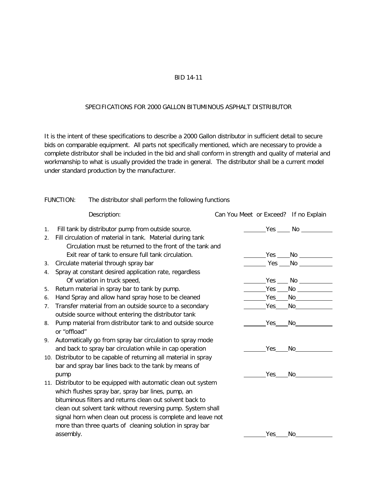### BID 14-11

#### SPECIFICATIONS FOR 2000 GALLON BITUMINOUS ASPHALT DISTRIBUTOR

It is the intent of these specifications to describe a 2000 Gallon distributor in sufficient detail to secure bids on comparable equipment. All parts not specifically mentioned, which are necessary to provide a complete distributor shall be included in the bid and shall conform in strength and quality of material and workmanship to what is usually provided the trade in general. The distributor shall be a current model under standard production by the manufacturer.

### FUNCTION: The distributor shall perform the following functions

|    | Description:                                                     | Can You Meet or Exceed? If no Explain |            |                                                                                                                                                                                                                                |
|----|------------------------------------------------------------------|---------------------------------------|------------|--------------------------------------------------------------------------------------------------------------------------------------------------------------------------------------------------------------------------------|
| 1. | Fill tank by distributor pump from outside source.               |                                       |            | $Yes$ No                                                                                                                                                                                                                       |
| 2. | Fill circulation of material in tank. Material during tank       |                                       |            |                                                                                                                                                                                                                                |
|    | Circulation must be returned to the front of the tank and        |                                       |            |                                                                                                                                                                                                                                |
|    | Exit rear of tank to ensure full tank circulation.               |                                       |            |                                                                                                                                                                                                                                |
| 3. | Circulate material through spray bar                             |                                       |            |                                                                                                                                                                                                                                |
| 4. | Spray at constant desired application rate, regardless           |                                       |            |                                                                                                                                                                                                                                |
|    | Of variation in truck speed,                                     |                                       |            |                                                                                                                                                                                                                                |
| 5. | Return material in spray bar to tank by pump.                    |                                       |            | $Yes$ No $\qquad$                                                                                                                                                                                                              |
| 6. | Hand Spray and allow hand spray hose to be cleaned               |                                       |            | Yes No when the North State of the North State of the North State of the North State of the North State of the                                                                                                                 |
| 7. | Transfer material from an outside source to a secondary          |                                       | Yes        | No and the second second second second second second second second second second second second second second second second second second second second second second second second second second second second second second s |
|    | outside source without entering the distributor tank             |                                       |            |                                                                                                                                                                                                                                |
| 8. | Pump material from distributor tank to and outside source        |                                       | Yes        | No and the second second second second second second second second second second second second second second second second second second second second second second second second second second second second second second s |
|    | or "offload"                                                     |                                       |            |                                                                                                                                                                                                                                |
| 9. | Automatically go from spray bar circulation to spray mode        |                                       |            |                                                                                                                                                                                                                                |
|    | and back to spray bar circulation while in cap operation         |                                       | Yes        | No contract the set of the set of the set of the set of the set of the set of the set of the set of the set of                                                                                                                 |
|    | 10. Distributor to be capable of returning all material in spray |                                       |            |                                                                                                                                                                                                                                |
|    | bar and spray bar lines back to the tank by means of             |                                       |            |                                                                                                                                                                                                                                |
|    | pump                                                             |                                       | Yes        | No                                                                                                                                                                                                                             |
|    | 11. Distributor to be equipped with automatic clean out system   |                                       |            |                                                                                                                                                                                                                                |
|    | which flushes spray bar, spray bar lines, pump, an               |                                       |            |                                                                                                                                                                                                                                |
|    | bituminous filters and returns clean out solvent back to         |                                       |            |                                                                                                                                                                                                                                |
|    | clean out solvent tank without reversing pump. System shall      |                                       |            |                                                                                                                                                                                                                                |
|    | signal horn when clean out process is complete and leave not     |                                       |            |                                                                                                                                                                                                                                |
|    | more than three quarts of cleaning solution in spray bar         |                                       |            |                                                                                                                                                                                                                                |
|    | assembly.                                                        |                                       | <b>Yes</b> | No                                                                                                                                                                                                                             |
|    |                                                                  |                                       |            |                                                                                                                                                                                                                                |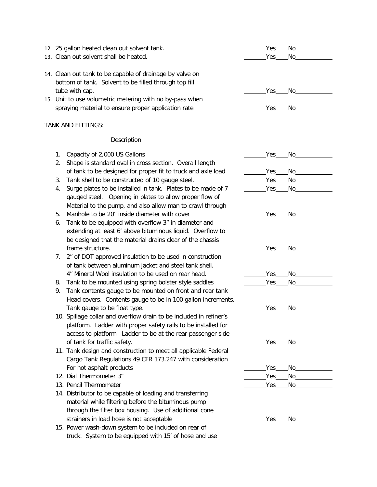- 12. 25 gallon heated clean out solvent tank. Yes No
- 13. Clean out solvent shall be heated. Yes No
- 14. Clean out tank to be capable of drainage by valve on bottom of tank. Solvent to be filled through top fill tube with cap.
- 15. Unit to use volumetric metering with no by-pass when spraying material to ensure proper application rate

#### TANK AND FITTINGS:

- 1. Capacity of 2,000 US Gallons 2. Shape is standard oval in cross section. Overall length of tank to be designed for proper fit to truck and axle load
- 3. Tank shell to be constructed of 10 gauge steel.
- 4. Surge plates to be installed in tank. Plates to be made of 7 gauged steel. Opening in plates to allow proper flow of Material to the pump, and also allow man to crawl through
- 5. Manhole to be 20" inside diameter with cover
- 6. Tank to be equipped with overflow 3" in diameter and extending at least 6' above bituminous liquid. Overflow to be designed that the material drains clear of the chassis frame structure.
- 7. 2" of DOT approved insulation to be used in construction of tank between aluminum jacket and steel tank shell. 4" Mineral Wool insulation to be used on rear head.
- 8. Tank to be mounted using spring bolster style saddles
- 9. Tank contents gauge to be mounted on front and rear tank Head covers. Contents gauge to be in 100 gallon increments. Tank gauge to be float type.
- 10. Spillage collar and overflow drain to be included in refiner's platform. Ladder with proper safety rails to be installed for access to platform. Ladder to be at the rear passenger side of tank for traffic safety.
- 11. Tank design and construction to meet all applicable Federal Cargo Tank Regulations 49 CFR 173.247 with consideration For hot asphalt products
- 12. Dial Thermometer 3" No and the set of the set of the set of the set of the set of the set of the set of the set of the set of the set of the set of the set of the set of the set of the set of the set of the set of the
- 13. Pencil Thermometer Theorem Communication of the Ves No Yes No
- 14. Distributor to be capable of loading and transferring material while filtering before the bituminous pump through the filter box housing. Use of additional cone strainers in load hose is not acceptable
- 15. Power wash-down system to be included on rear of truck. System to be equipped with 15' of hose and use

| ___________Yes_____No______________                                                                                    |
|------------------------------------------------------------------------------------------------------------------------|
|                                                                                                                        |
|                                                                                                                        |
|                                                                                                                        |
|                                                                                                                        |
|                                                                                                                        |
|                                                                                                                        |
|                                                                                                                        |
|                                                                                                                        |
|                                                                                                                        |
|                                                                                                                        |
|                                                                                                                        |
|                                                                                                                        |
|                                                                                                                        |
|                                                                                                                        |
| ___________Yes_____No______________                                                                                    |
| <b>Example Service Service Service Service Service Service Service Service Service Service Service Service Service</b> |
|                                                                                                                        |
|                                                                                                                        |
|                                                                                                                        |
|                                                                                                                        |
| Yes____No______                                                                                                        |
| Yes No                                                                                                                 |
|                                                                                                                        |

| ÷ |
|---|
|---|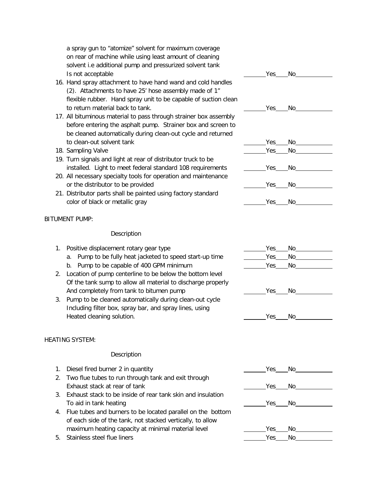a spray gun to "atomize" solvent for maximum coverage on rear of machine while using least amount of cleaning solvent i.e additional pump and pressurized solvent tank Is not acceptable Yes No

- 16. Hand spray attachment to have hand wand and cold handles (2). Attachments to have 25' hose assembly made of 1" flexible rubber. Hand spray unit to be capable of suction clean to return material back to tank. Yes No
- 17. All bituminous material to pass through strainer box assembly before entering the asphalt pump. Strainer box and screen to be cleaned automatically during clean-out cycle and returned to clean-out solvent tank The Contract Contract Contract Contract Contract Contract Contract Contract Contract Contract Contract Contract Contract Contract Contract Contract Contract Contract Contract Contract Contract Con
- 18. Sampling Valve **Yes** No
- 19. Turn signals and light at rear of distributor truck to be installed. Light to meet federal standard 108 requirements The Messing Nessing North Ave
- 20. All necessary specialty tools for operation and maintenance or the distributor to be provided and the set of the distributor to be provided and the set of the  $\sim$  Yes No
- 21. Distributor parts shall be painted using factory standard color of black or metallic gray  $Yes$  No

### BITUMENT PUMP:

#### **Description**

# 1. Positive displacement rotary gear type  $\sim$  Yes No

- a. Pump to be fully heat jacketed to speed start-up time \_\_\_\_\_\_\_\_Yes\_\_\_No\_\_\_\_\_\_\_\_
- b. Pump to be capable of 400 GPM minimum Ves No
- 2. Location of pump centerline to be below the bottom level Of the tank sump to allow all material to discharge properly And completely from tank to bitumen pump  $\qquad \qquad 2.2$  Yes No
- 3. Pump to be cleaned automatically during clean-out cycle Including filter box, spray bar, and spray lines, using Heated cleaning solution. Yes No

# HEATING SYSTEM:

|    | 1. Diesel fired burner 2 in quantity                        | Yes  | No and a series of the series of the series of the series of the series of the series of the series of the series of the series of the series of the series of the series of the series of the series of the series of the ser |  |
|----|-------------------------------------------------------------|------|--------------------------------------------------------------------------------------------------------------------------------------------------------------------------------------------------------------------------------|--|
|    | 2. Two flue tubes to run through tank and exit through      |      |                                                                                                                                                                                                                                |  |
|    | Exhaust stack at rear of tank                               | Yes  | No.                                                                                                                                                                                                                            |  |
| 3. | Exhaust stack to be inside of rear tank skin and insulation |      |                                                                                                                                                                                                                                |  |
|    | To aid in tank heating                                      | Yes  | No l                                                                                                                                                                                                                           |  |
| 4. | Flue tubes and burners to be located parallel on the bottom |      |                                                                                                                                                                                                                                |  |
|    | of each side of the tank, not stacked vertically, to allow  |      |                                                                                                                                                                                                                                |  |
|    | maximum heating capacity at minimal material level          | Yes  | No.                                                                                                                                                                                                                            |  |
|    | 5. Stainless steel flue liners                              | Yes. | No.                                                                                                                                                                                                                            |  |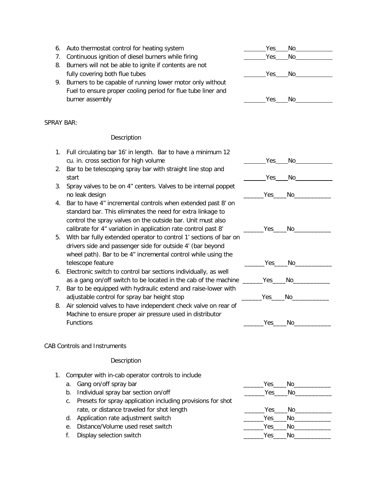|            | 6. Auto thermostat control for heating system                                                                                | Yes | No. |  |
|------------|------------------------------------------------------------------------------------------------------------------------------|-----|-----|--|
|            | 7. Continuous ignition of diesel burners while firing                                                                        | Yes | No  |  |
|            | 8. Burners will not be able to ignite if contents are not                                                                    |     |     |  |
|            | fully covering both flue tubes                                                                                               | Yes | No. |  |
|            | 9. Burners to be capable of running lower motor only without<br>Fuel to ensure proper cooling period for flue tube liner and |     |     |  |
|            | burner assembly                                                                                                              | Yes | No. |  |
|            |                                                                                                                              |     |     |  |
| SPRAY BAR: |                                                                                                                              |     |     |  |

### Description

| 1. Full circulating bar 16' in length. Bar to have a minimum 12 |      |    |
|-----------------------------------------------------------------|------|----|
| cu. in. cross section for high volume                           | Yes. | No |

- 2. Bar to be telescoping spray bar with straight line stop and start Yes No
- 3. Spray valves to be on 4" centers. Valves to be internal poppet no leak design the state of the state of the state of the state of the state of the state of the state of the s
- 4. Bar to have 4" incremental controls when extended past 8' on standard bar. This eliminates the need for extra linkage to control the spray valves on the outside bar. Unit must also calibrate for 4" variation in application rate control past 8'
- 5. With bar fully extended operator to control 1' sections of bar on drivers side and passenger side for outside 4' (bar beyond wheel path). Bar to be 4" incremental control while using the telescope feature \_\_\_\_\_\_Yes\_\_\_\_No\_\_\_\_\_\_\_\_\_\_\_
- 6. Electronic switch to control bar sections individually, as well as a gang on/off switch to be located in the cab of the machine \_
- 7. Bar to be equipped with hydraulic extend and raise-lower with adjustable control for spray bar height stop
- 8. Air solenoid valves to have independent check valve on rear of Machine to ensure proper air pressure used in distributor Functions \_\_\_\_\_\_Yes\_\_\_\_No\_\_\_\_\_\_\_\_\_\_\_

| $\sim$ | - |  |
|--------|---|--|
|        |   |  |

| $V \cap C$ |  |
|------------|--|
|            |  |

| Yes | No |  |
|-----|----|--|

# CAB Controls and Instruments

- 1. Computer with in-cab operator controls to include
	- a. Gang on/off spray bar
	- b. Individual spray bar section on/off

| c. Presets for spray application including provisions for shot |      |     |  |
|----------------------------------------------------------------|------|-----|--|
| rate, or distance traveled for shot length                     | Yes. | No. |  |

- d. Application rate adjustment switch
- e. Distance/Volume used reset switch
- f. Display selection switch

|     | No_____________                                                                                                                                                                                                                |  |
|-----|--------------------------------------------------------------------------------------------------------------------------------------------------------------------------------------------------------------------------------|--|
|     | Yes_____No___________                                                                                                                                                                                                          |  |
|     |                                                                                                                                                                                                                                |  |
|     | Yes No                                                                                                                                                                                                                         |  |
| Yes | No and a series of the series of the series of the series of the series of the series of the series of the series of the series of the series of the series of the series of the series of the series of the series of the ser |  |
| Yes | No____________                                                                                                                                                                                                                 |  |
| Yes | No and a series of the series of the series of the series of the series of the series of the series of the series of the series of the series of the series of the series of the series of the series of the series of the ser |  |
|     |                                                                                                                                                                                                                                |  |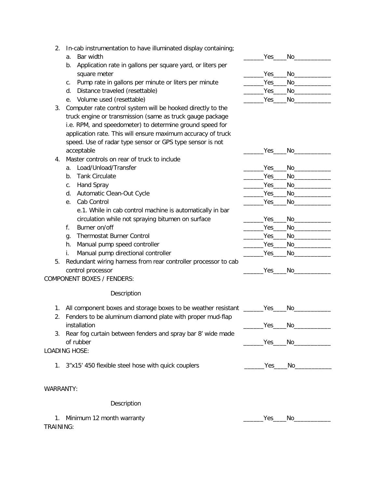- 2. In-cab instrumentation to have illuminated display containing;
	- a. Bar width
	- b. Application rate in gallons per square yard, or liters per square meter
	- c. Pump rate in gallons per minute or liters per minute
	- d. Distance traveled (resettable)
	- e. Volume used (resettable)
- 3. Computer rate control system will be hooked directly to the truck engine or transmission (same as truck gauge package i.e. RPM, and speedometer) to determine ground speed for application rate. This will ensure maximum accuracy of truck speed. Use of radar type sensor or GPS type sensor is not acceptable \_\_\_\_\_\_Yes\_\_\_\_No\_\_\_\_\_\_\_\_\_\_\_
- 4. Master controls on rear of truck to include
	-
	-
	-
	-
	- e. Cab Control and the control of the control of the control of the control of the control of the control of the control of the control of the control of the control of the control of the control of the control of the cont e.1. While in cab control machine is automatically in bar circulation while not spraying bitumen on surface
	- f. Burner on/off
	- g. Thermostat Burner Control
	- h. Manual pump speed controller
	- i. Manual pump directional controller
- 5. Redundant wiring harness from rear controller processor to cab control processor \_\_\_\_\_\_Yes\_\_\_\_No\_\_\_\_\_\_\_\_\_\_\_

COMPONENT BOXES / FENDERS:

#### Description

- 1. All component boxes and storage boxes to be weather resistant
- 2. Fenders to be aluminum diamond plate with proper mud-flap installation \_\_\_\_\_\_Yes\_\_\_\_No\_\_\_\_\_\_\_\_\_\_\_
- 3. Rear fog curtain between fenders and spray bar 8' wide made of rubber \_\_\_\_\_\_Yes\_\_\_\_No\_\_\_\_\_\_\_\_\_\_\_

# LOADING HOSE:

- 1. 3"x15' 450 flexible steel hose with quick couplers \_\_\_\_\_\_\_\_\_\_\_\_\_\_\_\_\_\_\_\_\_\_\_\_\_\_Yes\_\_\_\_\_No\_\_
- WARRANTY:

# Description

1. Minimum 12 month warranty the state of the state of the state of the state of the state of the state of the state of the state of the state of the state of the state of the state of the state of the state of the state o TRAINING:

| $Yes$ <sub>____</sub> | No_ |  |
|-----------------------|-----|--|
|                       |     |  |
| Yes                   | No. |  |
| Yes_                  | No. |  |
| $Yes_$                | No. |  |
| Yes                   | No  |  |
|                       |     |  |



|                        | Yes No the Mo |  |
|------------------------|---------------|--|
| $Yes$ <sub>_____</sub> | No_________   |  |
| $Yes$ <sub>___</sub>   | No l          |  |
| $Yes$ <sub>___</sub>   | No l          |  |
| Yes_                   | No            |  |
|                        |               |  |

| Yes        | - No |  |
|------------|------|--|
| Yes_____No |      |  |
| Yes        | No   |  |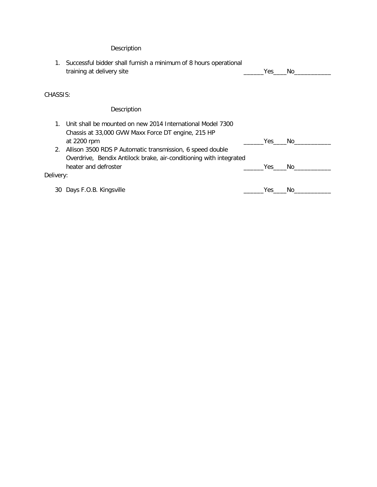|           | Successful bidder shall furnish a minimum of 8 hours operational<br>training at delivery site                                                           | Yes. | No. |
|-----------|---------------------------------------------------------------------------------------------------------------------------------------------------------|------|-----|
| CHASSIS:  |                                                                                                                                                         |      |     |
|           | Description                                                                                                                                             |      |     |
| 1.        | Unit shall be mounted on new 2014 International Model 7300<br>Chassis at 33,000 GVW Maxx Force DT engine, 215 HP<br>at 2200 rpm                         | Yes  | No. |
| 2.        | Allison 3500 RDS P Automatic transmission, 6 speed double<br>Overdrive, Bendix Antilock brake, air-conditioning with integrated<br>heater and defroster | Yes. | No. |
| Delivery: |                                                                                                                                                         |      |     |
|           | 30 Days F.O.B. Kingsville                                                                                                                               | Yes  | No. |